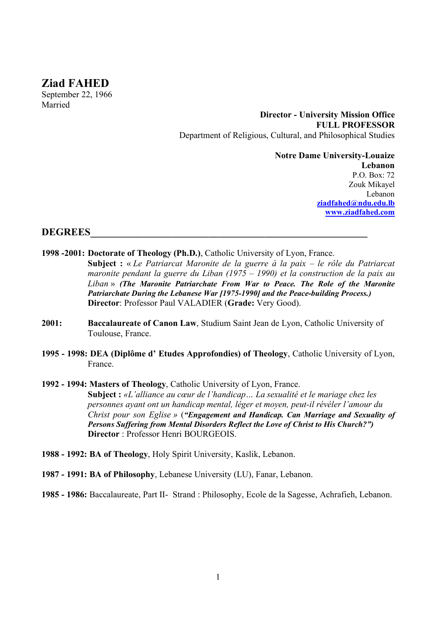# **Ziad FAHED**

September 22, 1966 Married

> **Director - University Mission Office FULL PROFESSOR**  Department of Religious, Cultural, and Philosophical Studies

> > **Notre Dame University-Louaize Lebanon** P.O. Box: 72 Zouk Mikayel Lebanon **ziadfahed@ndu.edu.lb www.ziadfahed.com**

#### DEGREES

- **1998 -2001: Doctorate of Theology (Ph.D.)**, Catholic University of Lyon, France.
	- **Subject :** « *Le Patriarcat Maronite de la guerre à la paix – le rôle du Patriarcat maronite pendant la guerre du Liban (1975 – 1990) et la construction de la paix au Liban* » *(The Maronite Patriarchate From War to Peace. The Role of the Maronite Patriarchate During the Lebanese War [1975-1990] and the Peace-building Process.)* **Director**: Professor Paul VALADIER (**Grade:** Very Good).
- **2001: Baccalaureate of Canon Law**, Studium Saint Jean de Lyon, Catholic University of Toulouse, France.
- **1995 - 1998: DEA (Diplôme d' Etudes Approfondies) of Theology**, Catholic University of Lyon, France.
- **1992 - 1994: Masters of Theology**, Catholic University of Lyon, France. **Subject :** *«L'alliance au cœur de l'handicap… La sexualité et le mariage chez les personnes ayant ont un handicap mental, léger et moyen, peut-il révéler l'amour du Christ pour son Eglise »* (*"Engagement and Handicap. Can Marriage and Sexuality of Persons Suffering from Mental Disorders Reflect the Love of Christ to His Church?")* **Director** : Professor Henri BOURGEOIS.
- **1988 - 1992: BA of Theology**, Holy Spirit University, Kaslik, Lebanon.
- **1987 - 1991: BA of Philosophy**, Lebanese University (LU), Fanar, Lebanon.
- **1985 - 1986:** Baccalaureate, Part II- Strand : Philosophy, Ecole de la Sagesse, Achrafieh, Lebanon.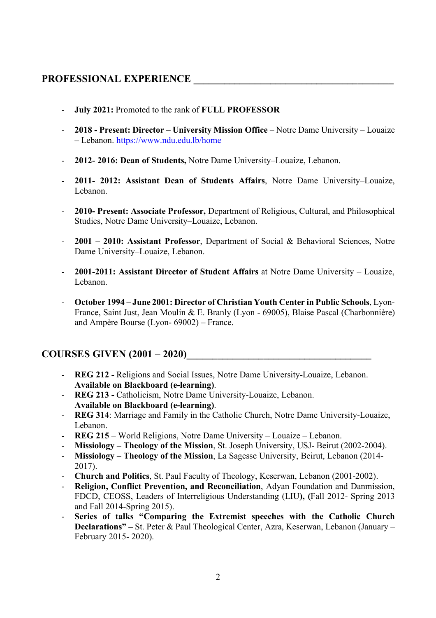# PROFESSIONAL EXPERIENCE

- **July 2021:** Promoted to the rank of **FULL PROFESSOR**
- **2018 - Present: Director – University Mission Office**  Notre Dame University Louaize – Lebanon. https://www.ndu.edu.lb/home
- **2012- 2016: Dean of Students,** Notre Dame University–Louaize, Lebanon.
- **2011- 2012: Assistant Dean of Students Affairs**, Notre Dame University–Louaize, Lebanon.
- **2010- Present: Associate Professor,** Department of Religious, Cultural, and Philosophical Studies, Notre Dame University–Louaize, Lebanon.
- **2001 – 2010: Assistant Professor**, Department of Social & Behavioral Sciences, Notre Dame University–Louaize, Lebanon.
- **2001-2011: Assistant Director of Student Affairs** at Notre Dame University Louaize, Lebanon.
- **October 1994 – June 2001: Director of Christian Youth Center in Public Schools**, Lyon-France, Saint Just, Jean Moulin & E. Branly (Lyon - 69005), Blaise Pascal (Charbonnière) and Ampère Bourse (Lyon- 69002) – France.

### **COURSES GIVEN (2001 – 2020)\_\_\_\_\_\_\_\_\_\_\_\_\_\_\_\_\_\_\_\_\_\_\_\_\_\_\_\_\_\_\_\_\_\_\_\_**

- **REG 212 -** Religions and Social Issues, Notre Dame University-Louaize, Lebanon. **Available on Blackboard (e-learning)**.
- **REG 213 -** Catholicism, Notre Dame University-Louaize, Lebanon. **Available on Blackboard (e-learning)**.
- **REG 314**: Marriage and Family in the Catholic Church, Notre Dame University-Louaize, Lebanon.
- **REG 215**  World Religions, Notre Dame University Louaize Lebanon.
- **Missiology – Theology of the Mission**, St. Joseph University, USJ- Beirut (2002-2004).
- **Missiology – Theology of the Mission**, La Sagesse University, Beirut, Lebanon (2014- 2017).
- **Church and Politics**, St. Paul Faculty of Theology, Keserwan, Lebanon (2001-2002).
- **Religion, Conflict Prevention, and Reconciliation**, Adyan Foundation and Danmission, FDCD, CEOSS, Leaders of Interreligious Understanding (LIU**), (**Fall 2012- Spring 2013 and Fall 2014-Spring 2015).
- **Series of talks "Comparing the Extremist speeches with the Catholic Church Declarations" –** St. Peter & Paul Theological Center, Azra, Keserwan, Lebanon (January – February 2015- 2020).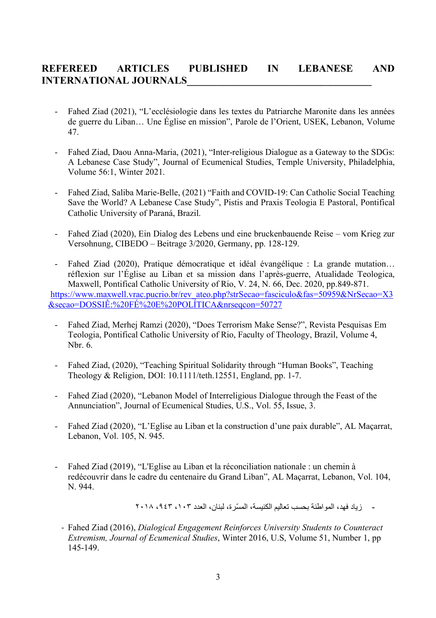# **REFEREED ARTICLES PUBLISHED IN LEBANESE AND INTERNATIONAL JOURNALS\_\_\_\_\_\_\_\_\_\_\_\_\_\_\_\_\_\_\_\_\_\_\_\_\_\_\_\_\_\_\_\_\_\_\_\_**

- Fahed Ziad (2021), "L'ecclésiologie dans les textes du Patriarche Maronite dans les années de guerre du Liban… Une Église en mission", Parole de l'Orient, USEK, Lebanon, Volume 47.
- Fahed Ziad, Daou Anna-Maria, (2021), "Inter-religious Dialogue as a Gateway to the SDGs: A Lebanese Case Study", Journal of Ecumenical Studies, Temple University, Philadelphia, Volume 56:1, Winter 2021.
- Fahed Ziad, Saliba Marie-Belle, (2021) "Faith and COVID-19: Can Catholic Social Teaching Save the World? A Lebanese Case Study", Pistis and Praxis Teologia E Pastoral, Pontifical Catholic University of Paraná, Brazil.
- Fahed Ziad (2020), Ein Dialog des Lebens und eine bruckenbauende Reise vom Krieg zur Versohnung, CIBEDO – Beitrage 3/2020, Germany, pp. 128-129.
- Fahed Ziad (2020), Pratique démocratique et idéal évangélique : La grande mutation… réflexion sur l'Église au Liban et sa mission dans l'après-guerre, Atualidade Teologica, Maxwell, Pontifical Catholic University of Rio, V. 24, N. 66, Dec. 2020, pp.849-871. https://www.maxwell.vrac.pucrio.br/rev\_ateo.php?strSecao=fasciculo&fas=50959&NrSecao=X3 &secao=DOSSIÊ:%20FÉ%20E%20POLÍTICA&nrseqcon=50727
	- Fahed Ziad, Merhej Ramzi (2020), "Does Terrorism Make Sense?", Revista Pesquisas Em Teologia, Pontifical Catholic University of Rio, Faculty of Theology, Brazil, Volume 4, Nbr. 6.
	- Fahed Ziad, (2020), "Teaching Spiritual Solidarity through "Human Books", Teaching Theology & Religion, DOI: 10.1111/teth.12551, England, pp. 1-7.
	- Fahed Ziad (2020), "Lebanon Model of Interreligious Dialogue through the Feast of the Annunciation", Journal of Ecumenical Studies, U.S., Vol. 55, Issue, 3.
	- Fahed Ziad (2020), "L'Eglise au Liban et la construction d'une paix durable", AL Maçarrat, Lebanon, Vol. 105, N. 945.
	- Fahed Ziad (2019), "L'Eglise au Liban et la réconciliation nationale : un chemin à redécouvrir dans le cadre du centenaire du Grand Liban", AL Maçarrat, Lebanon, Vol. 104, N. 944.

- زباد فهد، المو اطنة بحسب تعاليم الكنبسة، المسّر ة، لبنان، العدد ٠١٣، ٢٠١٨، ٢٠١٨

- Fahed Ziad (2016), *Dialogical Engagement Reinforces University Students to Counteract Extremism, Journal of Ecumenical Studies*, Winter 2016, U.S, Volume 51, Number 1, pp 145-149.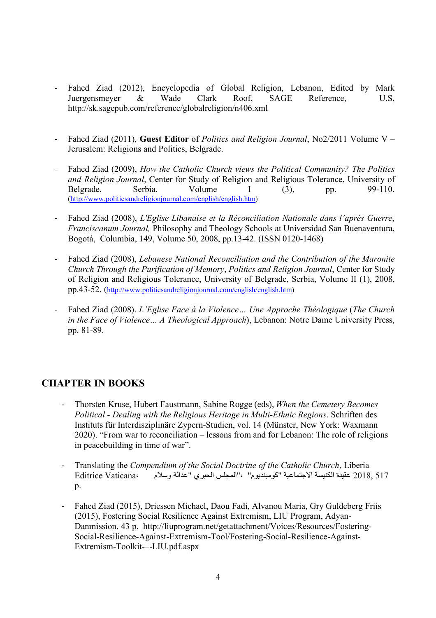- Fahed Ziad (2012), Encyclopedia of Global Religion, Lebanon, Edited by Mark Juergensmeyer & Wade Clark Roof, SAGE Reference, U.S, http://sk.sagepub.com/reference/globalreligion/n406.xml
- Fahed Ziad (2011), **Guest Editor** of *Politics and Religion Journal*, No2/2011 Volume V Jerusalem: Religions and Politics, Belgrade.
- Fahed Ziad (2009), *How the Catholic Church views the Political Community? The Politics and Religion Journal*, Center for Study of Religion and Religious Tolerance, University of Belgrade. Serbia. Volume  $1$  (3) n 99-110 Belgrade, Serbia, Volume I (3), pp. 99-110. (http://www.politicsandreligionjournal.com/english/english.htm)
- Fahed Ziad (2008), *L'Eglise Libanaise et la Réconciliation Nationale dans l'après Guerre*, *Franciscanum Journal,* Philosophy and Theology Schools at Universidad San Buenaventura, Bogotá, Columbia, 149, Volume 50, 2008, pp.13-42. (ISSN 0120-1468)
- Fahed Ziad (2008), *Lebanese National Reconciliation and the Contribution of the Maronite Church Through the Purification of Memory*, *Politics and Religion Journal*, Center for Study of Religion and Religious Tolerance, University of Belgrade, Serbia, Volume II (1), 2008, pp.43-52. (http://www.politicsandreligionjournal.com/english/english.htm)
- Fahed Ziad (2008). *L'Eglise Face à la Violence… Une Approche Théologique* (*The Church in the Face of Violence… A Theological Approach*), Lebanon: Notre Dame University Press, pp. 81-89.

# **CHAPTER IN BOOKS**

- Thorsten Kruse, Hubert Faustmann, Sabine Rogge (eds), *When the Cemetery Becomes Political - Dealing with the Religious Heritage in Multi-Ethnic Regions*. Schriften des Instituts für Interdisziplinäre Zypern-Studien, vol. 14 (Münster, New York: Waxmann 2020). "From war to reconciliation – lessons from and for Lebanon: The role of religions in peacebuilding in time of war".
- Translating the *Compendium of the Social Doctrine of the Catholic Church*, Liberia 517 .2018 عقيدة الكنيسة الاجتماعية "كو مبنديوم" ،"المجلس الحبر ي "عدّالة و سلام Editrice Vaticana و س  $p_{\cdot}$
- Fahed Ziad (2015), Driessen Michael, Daou Fadi, Alvanou Maria, Gry Guldeberg Friis (2015), Fostering Social Resilience Against Extremism, LIU Program, Adyan-Danmission, 43 p. http://liuprogram.net/getattachment/Voices/Resources/Fostering-Social-Resilience-Against-Extremism-Tool/Fostering-Social-Resilience-Against-Extremism-Toolkit-–-LIU.pdf.aspx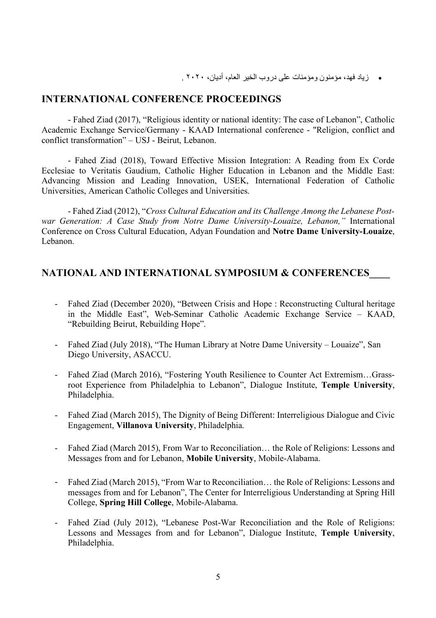• دایز فهد، مؤمنون ومؤمنات علی در وب الخیر العام، أدیان، ٢٠٢٠ .

### **INTERNATIONAL CONFERENCE PROCEEDINGS**

- Fahed Ziad (2017), "Religious identity or national identity: The case of Lebanon", Catholic Academic Exchange Service/Germany - KAAD International conference - "Religion, conflict and conflict transformation" – USJ - Beirut, Lebanon.

- Fahed Ziad (2018), Toward Effective Mission Integration: A Reading from Ex Corde Ecclesiae to Veritatis Gaudium, Catholic Higher Education in Lebanon and the Middle East: Advancing Mission and Leading Innovation, USEK, International Federation of Catholic Universities, American Catholic Colleges and Universities.

- Fahed Ziad (2012), "*Cross Cultural Education and its Challenge Among the Lebanese Postwar Generation: A Case Study from Notre Dame University-Louaize, Lebanon,"* International Conference on Cross Cultural Education, Adyan Foundation and **Notre Dame University-Louaize**, Lebanon.

### **NATIONAL AND INTERNATIONAL SYMPOSIUM & CONFERENCES\_\_\_\_**

- Fahed Ziad (December 2020), "Between Crisis and Hope : Reconstructing Cultural heritage in the Middle East", Web-Seminar Catholic Academic Exchange Service – KAAD, "Rebuilding Beirut, Rebuilding Hope".
- Fahed Ziad (July 2018), "The Human Library at Notre Dame University Louaize", San Diego University, ASACCU.
- Fahed Ziad (March 2016), "Fostering Youth Resilience to Counter Act Extremism…Grassroot Experience from Philadelphia to Lebanon", Dialogue Institute, **Temple University**, Philadelphia.
- Fahed Ziad (March 2015), The Dignity of Being Different: Interreligious Dialogue and Civic Engagement, **Villanova University**, Philadelphia.
- Fahed Ziad (March 2015), From War to Reconciliation… the Role of Religions: Lessons and Messages from and for Lebanon, **Mobile University**, Mobile-Alabama.
- Fahed Ziad (March 2015), "From War to Reconciliation… the Role of Religions: Lessons and messages from and for Lebanon", The Center for Interreligious Understanding at Spring Hill College, **Spring Hill College**, Mobile-Alabama.
- Fahed Ziad (July 2012), "Lebanese Post-War Reconciliation and the Role of Religions: Lessons and Messages from and for Lebanon", Dialogue Institute, **Temple University**, Philadelphia.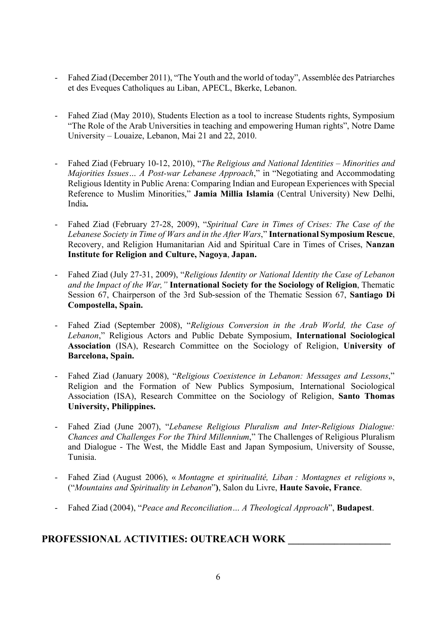- Fahed Ziad (December 2011), "The Youth and the world of today", Assemblée des Patriarches et des Eveques Catholiques au Liban, APECL, Bkerke, Lebanon.
- Fahed Ziad (May 2010), Students Election as a tool to increase Students rights, Symposium "The Role of the Arab Universities in teaching and empowering Human rights", Notre Dame University – Louaize, Lebanon, Mai 21 and 22, 2010.
- Fahed Ziad (February 10-12, 2010), "*The Religious and National Identities – Minorities and Majorities Issues… A Post-war Lebanese Approach*," in "Negotiating and Accommodating Religious Identity in Public Arena: Comparing Indian and European Experiences with Special Reference to Muslim Minorities," **Jamia Millia Islamia** (Central University) New Delhi, India**.**
- Fahed Ziad (February 27-28, 2009), "*Spiritual Care in Times of Crises: The Case of the Lebanese Society in Time of Wars and in the After Wars*," **International Symposium Rescue**, Recovery, and Religion Humanitarian Aid and Spiritual Care in Times of Crises, **Nanzan Institute for Religion and Culture, Nagoya**, **Japan.**
- Fahed Ziad (July 27-31, 2009), "*Religious Identity or National Identity the Case of Lebanon and the Impact of the War,"* **International Society for the Sociology of Religion**, Thematic Session 67, Chairperson of the 3rd Sub-session of the Thematic Session 67, **Santiago Di Compostella, Spain.**
- Fahed Ziad (September 2008), "*Religious Conversion in the Arab World, the Case of Lebanon*," Religious Actors and Public Debate Symposium, **International Sociological Association** (ISA), Research Committee on the Sociology of Religion, **University of Barcelona, Spain.**
- Fahed Ziad (January 2008), "*Religious Coexistence in Lebanon: Messages and Lessons*," Religion and the Formation of New Publics Symposium, International Sociological Association (ISA), Research Committee on the Sociology of Religion, **Santo Thomas University, Philippines.**
- Fahed Ziad (June 2007), "*Lebanese Religious Pluralism and Inter-Religious Dialogue: Chances and Challenges For the Third Millennium*," The Challenges of Religious Pluralism and Dialogue - The West, the Middle East and Japan Symposium, University of Sousse, Tunisia.
- Fahed Ziad (August 2006), « *Montagne et spiritualité, Liban : Montagnes et religions* », ("*Mountains and Spirituality in Lebanon*"**)**, Salon du Livre, **Haute Savoie, France**.
- Fahed Ziad (2004), "*Peace and Reconciliation… A Theological Approach*", **Budapest**.

# **PROFESSIONAL ACTIVITIES: OUTREACH WORK \_\_\_\_\_\_\_\_\_\_\_\_\_\_\_\_\_\_\_\_**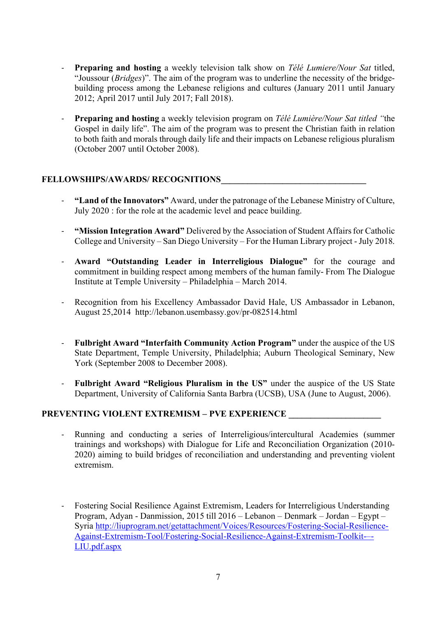- **Preparing and hosting** a weekly television talk show on *Télé Lumiere/Nour Sat* titled, "Joussour (*Bridges*)". The aim of the program was to underline the necessity of the bridgebuilding process among the Lebanese religions and cultures (January 2011 until January 2012; April 2017 until July 2017; Fall 2018).
- **Preparing and hosting** a weekly television program on *Télé Lumière/Nour Sat titled "*the Gospel in daily life". The aim of the program was to present the Christian faith in relation to both faith and morals through daily life and their impacts on Lebanese religious pluralism (October 2007 until October 2008).

#### **FELLOWSHIPS/AWARDS/ RECOGNITIONS\_\_\_\_\_\_\_\_\_\_\_\_\_\_\_\_\_\_\_\_\_\_\_\_\_\_\_\_\_\_\_\_\_**

- **"Land of the Innovators"** Award, under the patronage of the Lebanese Ministry of Culture, July 2020 : for the role at the academic level and peace building.
- **"Mission Integration Award"** Delivered by the Association of Student Affairs for Catholic College and University – San Diego University – For the Human Library project - July 2018.
- **Award "Outstanding Leader in Interreligious Dialogue"** for the courage and commitment in building respect among members of the human family- From The Dialogue Institute at Temple University – Philadelphia – March 2014.
- Recognition from his Excellency Ambassador David Hale, US Ambassador in Lebanon, August 25,2014 http://lebanon.usembassy.gov/pr-082514.html
- **Fulbright Award "Interfaith Community Action Program"** under the auspice of the US State Department, Temple University, Philadelphia; Auburn Theological Seminary, New York (September 2008 to December 2008).
- **Fulbright Award "Religious Pluralism in the US"** under the auspice of the US State Department, University of California Santa Barbra (UCSB), USA (June to August, 2006).

#### **PREVENTING VIOLENT EXTREMISM – PVE EXPERIENCE \_\_\_\_\_\_\_\_\_\_\_\_\_\_\_\_\_\_\_\_\_**

- Running and conducting a series of Interreligious/intercultural Academies (summer trainings and workshops) with Dialogue for Life and Reconciliation Organization (2010- 2020) aiming to build bridges of reconciliation and understanding and preventing violent extremism.
- Fostering Social Resilience Against Extremism, Leaders for Interreligious Understanding Program, Adyan - Danmission, 2015 till 2016 – Lebanon – Denmark – Jordan – Egypt – Syria http://liuprogram.net/getattachment/Voices/Resources/Fostering-Social-Resilience-Against-Extremism-Tool/Fostering-Social-Resilience-Against-Extremism-Toolkit-–- LIU.pdf.aspx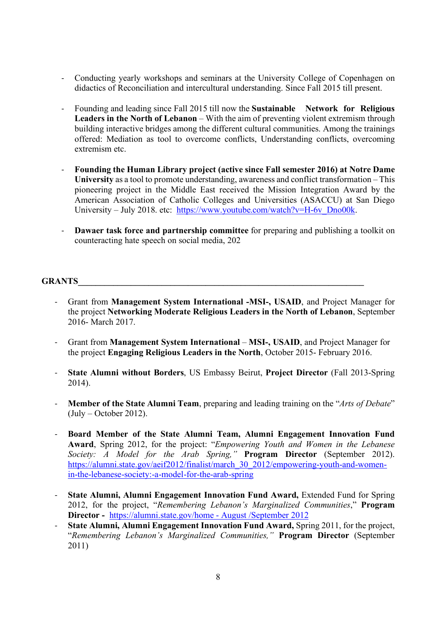- Conducting yearly workshops and seminars at the University College of Copenhagen on didactics of Reconciliation and intercultural understanding. Since Fall 2015 till present.
- Founding and leading since Fall 2015 till now the **Sustainable Network for Religious Leaders in the North of Lebanon** – With the aim of preventing violent extremism through building interactive bridges among the different cultural communities. Among the trainings offered: Mediation as tool to overcome conflicts, Understanding conflicts, overcoming extremism etc.
- **Founding the Human Library project (active since Fall semester 2016) at Notre Dame University** as a tool to promote understanding, awareness and conflict transformation – This pioneering project in the Middle East received the Mission Integration Award by the American Association of Catholic Colleges and Universities (ASACCU) at San Diego University – July 2018. etc: https://www.youtube.com/watch?v=H-6v\_Dno00k.
- **Dawaer task force and partnership committee** for preparing and publishing a toolkit on counteracting hate speech on social media, 202

#### GRANTS

- Grant from **Management System International -MSI-, USAID**, and Project Manager for the project **Networking Moderate Religious Leaders in the North of Lebanon**, September 2016- March 2017.
- Grant from **Management System International MSI-, USAID**, and Project Manager for the project **Engaging Religious Leaders in the North**, October 2015- February 2016.
- **State Alumni without Borders**, US Embassy Beirut, **Project Director** (Fall 2013-Spring 2014).
- **Member of the State Alumni Team**, preparing and leading training on the "*Arts of Debate*" (July – October 2012).
- **Board Member of the State Alumni Team, Alumni Engagement Innovation Fund Award**, Spring 2012, for the project: "*Empowering Youth and Women in the Lebanese Society: A Model for the Arab Spring,"* **Program Director** (September 2012). https://alumni.state.gov/aeif2012/finalist/march\_30\_2012/empowering-youth-and-womenin-the-lebanese-society:-a-model-for-the-arab-spring
- **State Alumni, Alumni Engagement Innovation Fund Award,** Extended Fund for Spring 2012, for the project, "*Remembering Lebanon's Marginalized Communities*," **Program Director -** https://alumni.state.gov/home - August /September 2012
- **State Alumni, Alumni Engagement Innovation Fund Award, Spring 2011, for the project,** "*Remembering Lebanon's Marginalized Communities,"* **Program Director** (September 2011)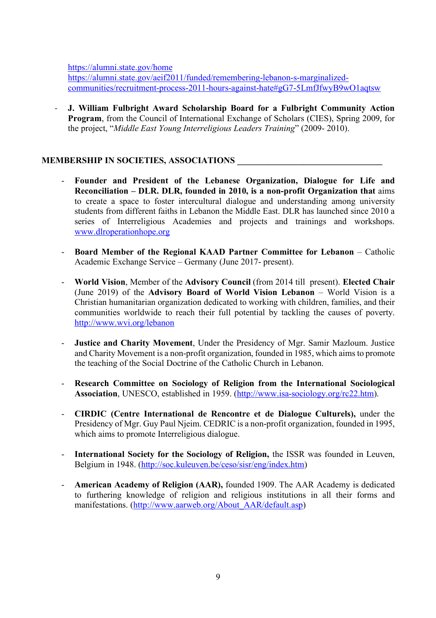https://alumni.state.gov/home

https://alumni.state.gov/aeif2011/funded/remembering-lebanon-s-marginalizedcommunities/recruitment-process-2011-hours-against-hate#gG7-5LmfJfwyB9wO1aqtsw

- **J. William Fulbright Award Scholarship Board for a Fulbright Community Action Program**, from the Council of International Exchange of Scholars (CIES), Spring 2009, for the project, "*Middle East Young Interreligious Leaders Training*" (2009- 2010).

#### **MEMBERSHIP IN SOCIETIES, ASSOCIATIONS \_\_\_\_\_\_\_\_\_\_\_\_\_\_\_\_\_\_\_\_\_\_\_\_\_\_\_\_\_\_\_\_\_**

- **Founder and President of the Lebanese Organization, Dialogue for Life and Reconciliation – DLR. DLR, founded in 2010, is a non-profit Organization that** aims to create a space to foster intercultural dialogue and understanding among university students from different faiths in Lebanon the Middle East. DLR has launched since 2010 a series of Interreligious Academies and projects and trainings and workshops. www.dlroperationhope.org
- **Board Member of the Regional KAAD Partner Committee for Lebanon** Catholic Academic Exchange Service – Germany (June 2017- present).
- **World Vision**, Member of the **Advisory Council** (from 2014 till present). **Elected Chair** (June 2019) of the **Advisory Board of World Vision Lebanon** – World Vision is a Christian humanitarian organization dedicated to working with children, families, and their communities worldwide to reach their full potential by tackling the causes of poverty. http://www.wvi.org/lebanon
- **Justice and Charity Movement**, Under the Presidency of Mgr. Samir Mazloum. Justice and Charity Movement is a non-profit organization, founded in 1985, which aims to promote the teaching of the Social Doctrine of the Catholic Church in Lebanon.
- **Research Committee on Sociology of Religion from the International Sociological Association**, UNESCO, established in 1959. (http://www.isa-sociology.org/rc22.htm).
- **CIRDIC (Centre International de Rencontre et de Dialogue Culturels),** under the Presidency of Mgr. Guy Paul Njeim. CEDRIC is a non-profit organization, founded in 1995, which aims to promote Interreligious dialogue.
- **International Society for the Sociology of Religion,** the ISSR was founded in Leuven, Belgium in 1948. (http://soc.kuleuven.be/ceso/sisr/eng/index.htm)
- **American Academy of Religion (AAR),** founded 1909. The AAR Academy is dedicated to furthering knowledge of religion and religious institutions in all their forms and manifestations. (http://www.aarweb.org/About\_AAR/default.asp)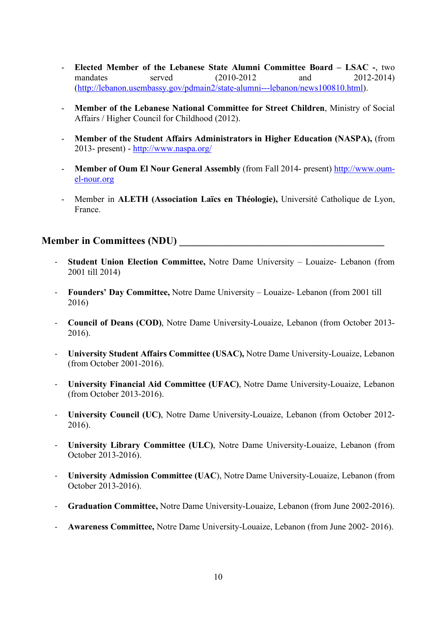- **Elected Member of the Lebanese State Alumni Committee Board – LSAC -**, two mandates served (2010-2012 and 2012-2014) (http://lebanon.usembassy.gov/pdmain2/state-alumni---lebanon/news100810.html).
- **Member of the Lebanese National Committee for Street Children**, Ministry of Social Affairs / Higher Council for Childhood (2012).
- Member of the Student Affairs Administrators in Higher Education (NASPA), (from 2013- present) - http://www.naspa.org/
- **Member of Oum El Nour General Assembly** (from Fall 2014- present) http://www.oumel-nour.org
- Member in **ALETH (Association Laïcs en Théologie),** Université Catholique de Lyon, France.

### **Member in Committees (NDU)**

- **Student Union Election Committee,** Notre Dame University Louaize- Lebanon (from 2001 till 2014)
- **Founders' Day Committee,** Notre Dame University Louaize- Lebanon (from 2001 till 2016)
- **Council of Deans (COD)**, Notre Dame University-Louaize, Lebanon (from October 2013- 2016).
- **University Student Affairs Committee (USAC),** Notre Dame University-Louaize, Lebanon (from October 2001-2016).
- **University Financial Aid Committee (UFAC)**, Notre Dame University-Louaize, Lebanon (from October 2013-2016).
- **University Council (UC)**, Notre Dame University-Louaize, Lebanon (from October 2012- 2016).
- **University Library Committee (ULC)**, Notre Dame University-Louaize, Lebanon (from October 2013-2016).
- **University Admission Committee (UAC**), Notre Dame University-Louaize, Lebanon (from October 2013-2016).
- **Graduation Committee,** Notre Dame University-Louaize, Lebanon (from June 2002-2016).
- **Awareness Committee,** Notre Dame University-Louaize, Lebanon (from June 2002- 2016).